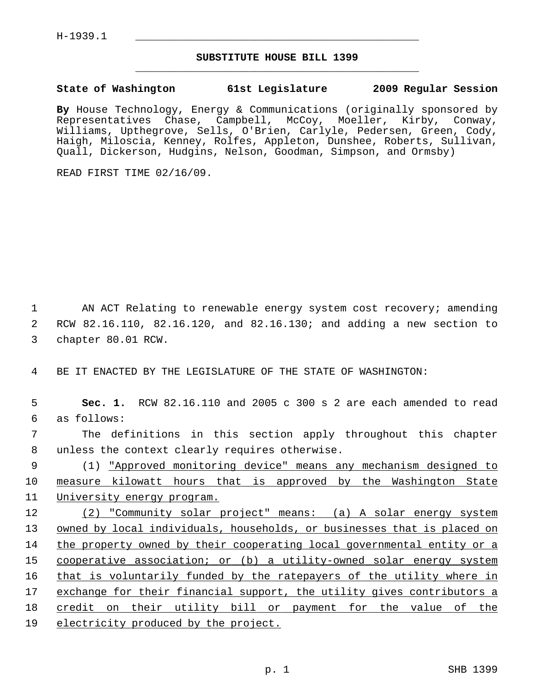## **SUBSTITUTE HOUSE BILL 1399** \_\_\_\_\_\_\_\_\_\_\_\_\_\_\_\_\_\_\_\_\_\_\_\_\_\_\_\_\_\_\_\_\_\_\_\_\_\_\_\_\_\_\_\_\_

## **State of Washington 61st Legislature 2009 Regular Session**

**By** House Technology, Energy & Communications (originally sponsored by Representatives Chase, Campbell, McCoy, Moeller, Kirby, Conway, Williams, Upthegrove, Sells, O'Brien, Carlyle, Pedersen, Green, Cody, Haigh, Miloscia, Kenney, Rolfes, Appleton, Dunshee, Roberts, Sullivan, Quall, Dickerson, Hudgins, Nelson, Goodman, Simpson, and Ormsby)

READ FIRST TIME 02/16/09.

 1 AN ACT Relating to renewable energy system cost recovery; amending 2 RCW 82.16.110, 82.16.120, and 82.16.130; and adding a new section to 3 chapter 80.01 RCW.

4 BE IT ENACTED BY THE LEGISLATURE OF THE STATE OF WASHINGTON:

 5 **Sec. 1.** RCW 82.16.110 and 2005 c 300 s 2 are each amended to read 6 as follows:

 7 The definitions in this section apply throughout this chapter 8 unless the context clearly requires otherwise.

 9 (1) "Approved monitoring device" means any mechanism designed to 10 measure kilowatt hours that is approved by the Washington State 11 University energy program.

12 (2) "Community solar project" means: (a) A solar energy system 13 owned by local individuals, households, or businesses that is placed on 14 the property owned by their cooperating local governmental entity or a 15 cooperative association; or (b) a utility-owned solar energy system 16 that is voluntarily funded by the ratepayers of the utility where in 17 exchange for their financial support, the utility gives contributors a 18 credit on their utility bill or payment for the value of the 19 electricity produced by the project.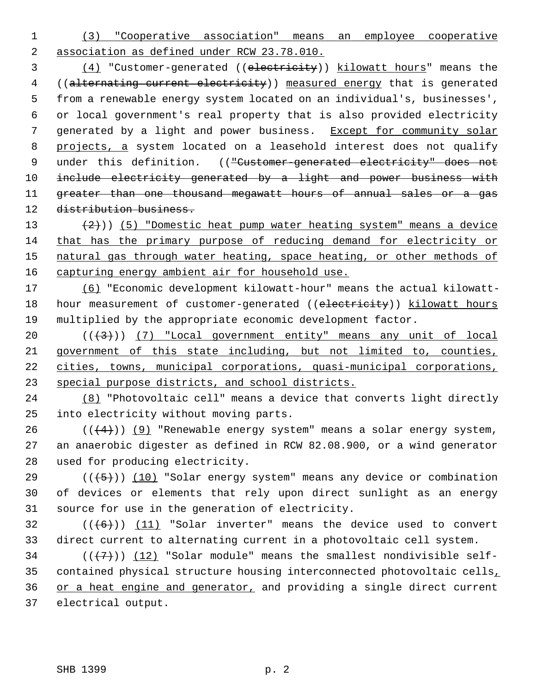1 (3) "Cooperative association" means an employee cooperative 2 association as defined under RCW 23.78.010.

 3 (4) "Customer-generated ((electricity)) kilowatt hours" means the 4 ((alternating current electricity)) measured energy that is generated 5 from a renewable energy system located on an individual's, businesses', 6 or local government's real property that is also provided electricity 7 generated by a light and power business. Except for community solar 8 projects, a system located on a leasehold interest does not qualify 9 under this definition. (("Customer-generated electricity" does not 10 include electricity generated by a light and power business with 11 greater than one thousand megawatt hours of annual sales or a gas 12 distribution business.

 $(2)$ )) (5) "Domestic heat pump water heating system" means a device that has the primary purpose of reducing demand for electricity or natural gas through water heating, space heating, or other methods of capturing energy ambient air for household use.

17 (6) "Economic development kilowatt-hour" means the actual kilowatt-18 hour measurement of customer-generated ((electricity)) kilowatt hours 19 multiplied by the appropriate economic development factor.

 $((+3))$   $(7)$  "Local government entity" means any unit of local government of this state including, but not limited to, counties, cities, towns, municipal corporations, quasi-municipal corporations, special purpose districts, and school districts.

24 (8) "Photovoltaic cell" means a device that converts light directly 25 into electricity without moving parts.

26  $((+4))$  (9) "Renewable energy system" means a solar energy system, 27 an anaerobic digester as defined in RCW 82.08.900, or a wind generator 28 used for producing electricity.

29  $((\langle 5 \rangle)(10)$  "Solar energy system" means any device or combination 30 of devices or elements that rely upon direct sunlight as an energy 31 source for use in the generation of electricity.

 $32$  (( $(6)$ )) (11) "Solar inverter" means the device used to convert 33 direct current to alternating current in a photovoltaic cell system.

 $(1, 7)$  ( $(12)$  "Solar module" means the smallest nondivisible self-35 contained physical structure housing interconnected photovoltaic cells, 36 or a heat engine and generator, and providing a single direct current 37 electrical output.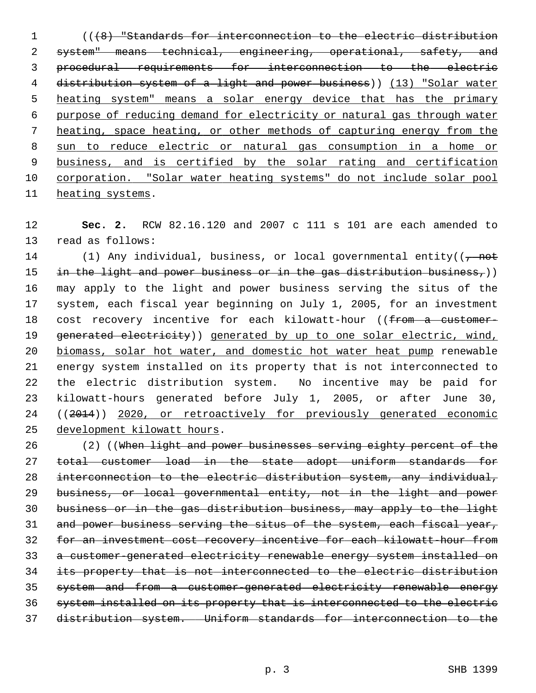1 (((8) "Standards for interconnection to the electric distribution system" means technical, engineering, operational, safety, and procedural requirements for interconnection to the electric distribution system of a light and power business)) (13) "Solar water heating system" means a solar energy device that has the primary purpose of reducing demand for electricity or natural gas through water heating, space heating, or other methods of capturing energy from the sun to reduce electric or natural gas consumption in a home or business, and is certified by the solar rating and certification corporation. "Solar water heating systems" do not include solar pool heating systems.

 **Sec. 2.** RCW 82.16.120 and 2007 c 111 s 101 are each amended to 13 read as follows:

14 (1) Any individual, business, or local governmental entity((<del>, not</del> 15 in the light and power business or in the gas distribution business,)) 16 may apply to the light and power business serving the situs of the 17 system, each fiscal year beginning on July 1, 2005, for an investment 18 cost recovery incentive for each kilowatt-hour ((from a customer-19 generated electricity)) generated by up to one solar electric, wind, biomass, solar hot water, and domestic hot water heat pump renewable 21 energy system installed on its property that is not interconnected to 22 the electric distribution system. No incentive may be paid for 23 kilowatt-hours generated before July 1, 2005, or after June 30, 24 ((2014)) 2020, or retroactively for previously generated economic development kilowatt hours.

26 (2) ((When light and power businesses serving eighty percent of the total customer load in the state adopt uniform standards for interconnection to the electric distribution system, any individual, business, or local governmental entity, not in the light and power business or in the gas distribution business, may apply to the light 31 and power business serving the situs of the system, each fiscal year, for an investment cost recovery incentive for each kilowatt-hour from a customer-generated electricity renewable energy system installed on its property that is not interconnected to the electric distribution system and from a customer-generated electricity renewable energy system installed on its property that is interconnected to the electric distribution system. Uniform standards for interconnection to the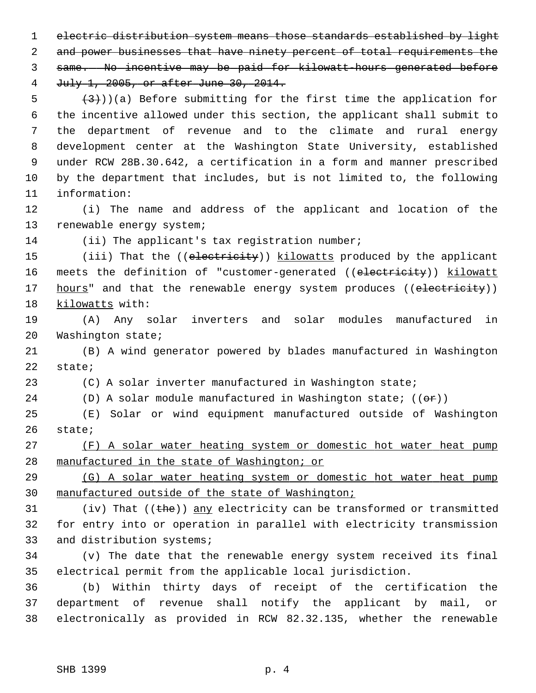1 electric distribution system means those standards established by light 2 and power businesses that have ninety percent of total requirements the

3 same. No incentive may be paid for kilowatt-hours generated before

4 July 1, 2005, or after June 30, 2014.

 $(3)$ ))(a) Before submitting for the first time the application for 6 the incentive allowed under this section, the applicant shall submit to 7 the department of revenue and to the climate and rural energy 8 development center at the Washington State University, established 9 under RCW 28B.30.642, a certification in a form and manner prescribed 10 by the department that includes, but is not limited to, the following 11 information:

12 (i) The name and address of the applicant and location of the 13 renewable energy system;

14 (ii) The applicant's tax registration number;

15 (iii) That the ((electricity)) kilowatts produced by the applicant 16 meets the definition of "customer-generated ((electricity)) kilowatt 17 hours" and that the renewable energy system produces ((electricity)) 18 kilowatts with:

19 (A) Any solar inverters and solar modules manufactured in 20 Washington state;

21 (B) A wind generator powered by blades manufactured in Washington 22 state;

23 (C) A solar inverter manufactured in Washington state;

24 (D) A solar module manufactured in Washington state;  $((\theta \cdot \mathbf{r}))$ 

25 (E) Solar or wind equipment manufactured outside of Washington 26 state;

27 (F) A solar water heating system or domestic hot water heat pump 28 manufactured in the state of Washington; or

29 (G) A solar water heating system or domestic hot water heat pump 30 manufactured outside of the state of Washington;

31 (iv) That  $($  ( $t$ he)) any electricity can be transformed or transmitted 32 for entry into or operation in parallel with electricity transmission 33 and distribution systems;

34 (v) The date that the renewable energy system received its final 35 electrical permit from the applicable local jurisdiction.

36 (b) Within thirty days of receipt of the certification the 37 department of revenue shall notify the applicant by mail, or 38 electronically as provided in RCW 82.32.135, whether the renewable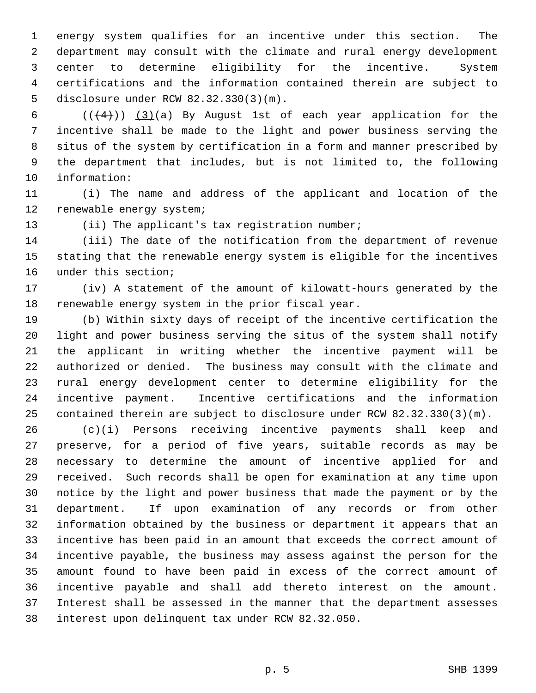1 energy system qualifies for an incentive under this section. The 2 department may consult with the climate and rural energy development 3 center to determine eligibility for the incentive. System 4 certifications and the information contained therein are subject to 5 disclosure under RCW 82.32.330(3)(m).

6  $((+4))$   $(3)(a)$  By August 1st of each year application for the 7 incentive shall be made to the light and power business serving the 8 situs of the system by certification in a form and manner prescribed by 9 the department that includes, but is not limited to, the following 10 information:

11 (i) The name and address of the applicant and location of the 12 renewable energy system;

13 (ii) The applicant's tax registration number;

14 (iii) The date of the notification from the department of revenue 15 stating that the renewable energy system is eligible for the incentives 16 under this section;

17 (iv) A statement of the amount of kilowatt-hours generated by the 18 renewable energy system in the prior fiscal year.

19 (b) Within sixty days of receipt of the incentive certification the 20 light and power business serving the situs of the system shall notify 21 the applicant in writing whether the incentive payment will be 22 authorized or denied. The business may consult with the climate and 23 rural energy development center to determine eligibility for the 24 incentive payment. Incentive certifications and the information 25 contained therein are subject to disclosure under RCW 82.32.330(3)(m).

26 (c)(i) Persons receiving incentive payments shall keep and 27 preserve, for a period of five years, suitable records as may be 28 necessary to determine the amount of incentive applied for and 29 received. Such records shall be open for examination at any time upon 30 notice by the light and power business that made the payment or by the 31 department. If upon examination of any records or from other 32 information obtained by the business or department it appears that an 33 incentive has been paid in an amount that exceeds the correct amount of 34 incentive payable, the business may assess against the person for the 35 amount found to have been paid in excess of the correct amount of 36 incentive payable and shall add thereto interest on the amount. 37 Interest shall be assessed in the manner that the department assesses 38 interest upon delinquent tax under RCW 82.32.050.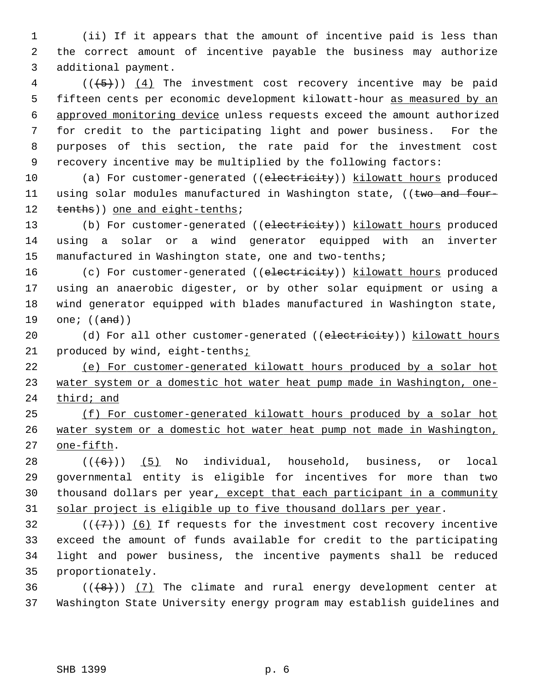1 (ii) If it appears that the amount of incentive paid is less than 2 the correct amount of incentive payable the business may authorize 3 additional payment.

 $4$  (( $\left(\frac{+5}{2}\right)$ ) (4) The investment cost recovery incentive may be paid 5 fifteen cents per economic development kilowatt-hour as measured by an 6 approved monitoring device unless requests exceed the amount authorized 7 for credit to the participating light and power business. For the 8 purposes of this section, the rate paid for the investment cost 9 recovery incentive may be multiplied by the following factors:

10 (a) For customer-generated ((electricity)) kilowatt hours produced 11 using solar modules manufactured in Washington state, ((two and four-12 tenths)) one and eight-tenths;

13 (b) For customer-generated ((electricity)) kilowatt hours produced 14 using a solar or a wind generator equipped with an inverter 15 manufactured in Washington state, one and two-tenths;

16 (c) For customer-generated ((electricity)) kilowatt hours produced 17 using an anaerobic digester, or by other solar equipment or using a 18 wind generator equipped with blades manufactured in Washington state, 19 one;  $((and))$ 

20 (d) For all other customer-generated ((electricity)) kilowatt hours 21 produced by wind, eight-tenths<sub>i</sub>

22 (e) For customer-generated kilowatt hours produced by a solar hot 23 water system or a domestic hot water heat pump made in Washington, one-24 third; and

25 (f) For customer-generated kilowatt hours produced by a solar hot 26 water system or a domestic hot water heat pump not made in Washington, 27 one-fifth.

28  $((+6))$  (5) No individual, household, business, or local 29 governmental entity is eligible for incentives for more than two 30 thousand dollars per year, except that each participant in a community 31 solar project is eligible up to five thousand dollars per year.

32  $((+7))$  (6) If requests for the investment cost recovery incentive 33 exceed the amount of funds available for credit to the participating 34 light and power business, the incentive payments shall be reduced 35 proportionately.

 $36$  (( $\left(\frac{48}{1}\right)$ ) (7) The climate and rural energy development center at 37 Washington State University energy program may establish guidelines and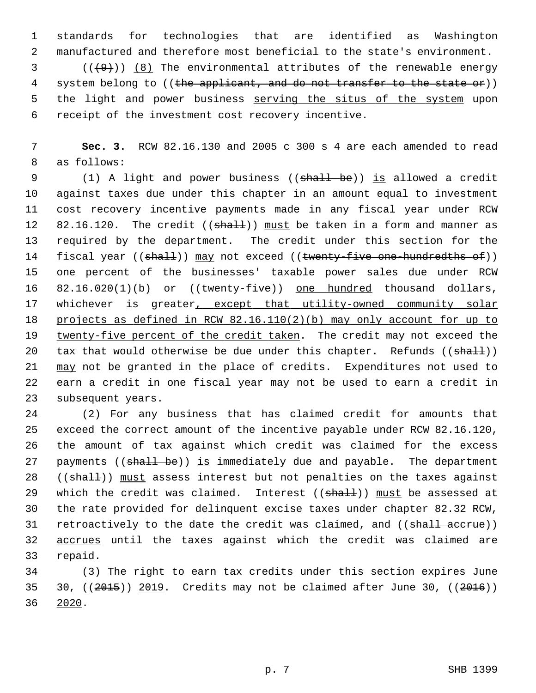1 standards for technologies that are identified as Washington 2 manufactured and therefore most beneficial to the state's environment.

 $(1, 9)$  (( $(9)$ ) (8) The environmental attributes of the renewable energy 4 system belong to ((the applicant, and do not transfer to the state or)) 5 the light and power business serving the situs of the system upon 6 receipt of the investment cost recovery incentive.

 7 **Sec. 3.** RCW 82.16.130 and 2005 c 300 s 4 are each amended to read 8 as follows:

9 (1) A light and power business ((shall be)) is allowed a credit 10 against taxes due under this chapter in an amount equal to investment 11 cost recovery incentive payments made in any fiscal year under RCW 12 82.16.120. The credit  $((shall))$  must be taken in a form and manner as 13 required by the department. The credit under this section for the 14 fiscal year ((shall)) may not exceed ((twenty-five one-hundredths of)) 15 one percent of the businesses' taxable power sales due under RCW 16 82.16.020(1)(b) or ((twenty-five)) one hundred thousand dollars, 17 whichever is greater, except that utility-owned community solar 18 projects as defined in RCW 82.16.110(2)(b) may only account for up to 19 twenty-five percent of the credit taken. The credit may not exceed the 20 tax that would otherwise be due under this chapter. Refunds ((shall)) 21 may not be granted in the place of credits. Expenditures not used to 22 earn a credit in one fiscal year may not be used to earn a credit in 23 subsequent years.

24 (2) For any business that has claimed credit for amounts that 25 exceed the correct amount of the incentive payable under RCW 82.16.120, 26 the amount of tax against which credit was claimed for the excess 27 payments ((shall be)) is immediately due and payable. The department 28 ((shall)) must assess interest but not penalties on the taxes against 29 which the credit was claimed. Interest  $((shall))$  must be assessed at 30 the rate provided for delinquent excise taxes under chapter 82.32 RCW, 31 retroactively to the date the credit was claimed, and ((shall accrue)) 32 accrues until the taxes against which the credit was claimed are 33 repaid.

34 (3) The right to earn tax credits under this section expires June 35 30,  $(2015)$  2019. Credits may not be claimed after June 30,  $(2016)$ 36 2020.